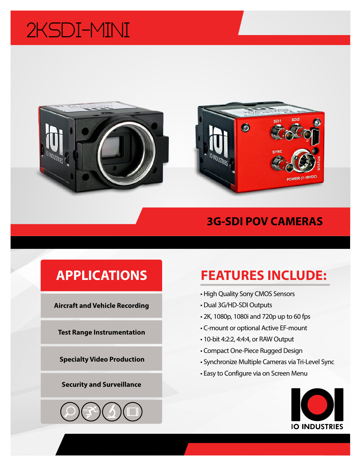# 2KSDI-MINI





### **3G-SDI POV CAMERAS**

### **APPLICATIONS**

**Aircraft and Vehicle Recording**

**Test Range Instrumentation**

**Specialty Video Production**

#### **Security and Surveillance**

## **FEATURES INCLUDE:**

- High Quality Sony CMOS Sensors
- Dual 3G/HD-SDI Outputs
- 2K, 1080p, 1080i and 720p up to 60 fps
- C-mount or optional Active EF-mount
- 10-bit 4:2:2, 4:4:4, or RAW Output
- Compact One-Piece Rugged Design
- Synchronize Multiple Cameras via Tri-Level Sync
- Easy to Configure via on Screen Menu